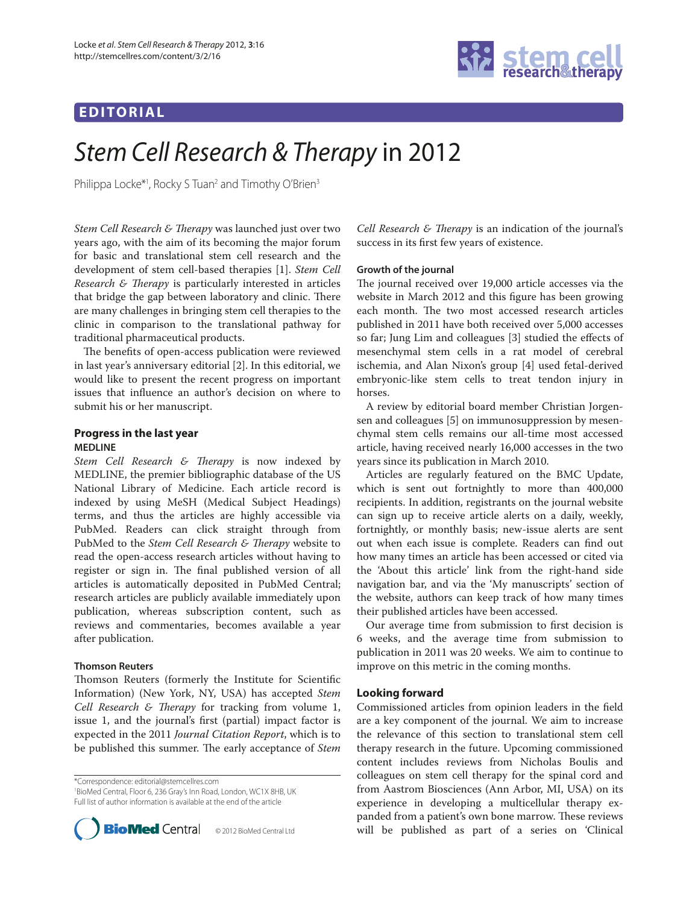## **EDITORIAL**



# Stem Cell Research & Therapy in 2012

Philippa Locke\*<sup>1</sup>, Rocky S Tuan<sup>2</sup> and Timothy O'Brien<sup>3</sup>

*Stem Cell Research & Therapy* was launched just over two years ago, with the aim of its becoming the major forum for basic and translational stem cell research and the development of stem cell-based therapies [1]. *Stem Cell Research & Therapy* is particularly interested in articles that bridge the gap between laboratory and clinic. There are many challenges in bringing stem cell therapies to the clinic in comparison to the translational pathway for traditional pharmaceutical products.

The benefits of open-access publication were reviewed in last year's anniversary editorial [2]. In this editorial, we would like to present the recent progress on important issues that influence an author's decision on where to submit his or her manuscript.

## **Progress in the last year MEDLINE**

Stem Cell Research & Therapy is now indexed by MEDLINE, the premier bibliographic database of the US National Library of Medicine. Each article record is indexed by using MeSH (Medical Subject Headings) terms, and thus the articles are highly accessible via PubMed. Readers can click straight through from PubMed to the *Stem Cell Research & Therapy* website to read the open-access research articles without having to register or sign in. The final published version of all articles is automatically deposited in PubMed Central; research articles are publicly available immediately upon publication, whereas subscription content, such as reviews and commentaries, becomes available a year after publication.

## **Thomson Reuters**

Thomson Reuters (formerly the Institute for Scientific Information) (New York, NY, USA) has accepted *Stem Cell Research & Therapy* for tracking from volume 1, issue 1, and the journal's first (partial) impact factor is expected in the 2011 *Journal Citation Report*, which is to be published this summer. The early acceptance of *Stem* 

\*Correspondence: editorial@stemcellres.com

1 BioMed Central, Floor 6, 236 Gray's Inn Road, London, WC1X 8HB, UK Full list of author information is available at the end of the article



*Cell Research & Therapy* is an indication of the journal's success in its first few years of existence.

## **Growth of the journal**

The journal received over 19,000 article accesses via the website in March 2012 and this figure has been growing each month. The two most accessed research articles published in 2011 have both received over 5,000 accesses so far; Jung Lim and colleagues [3] studied the effects of mesenchymal stem cells in a rat model of cerebral ischemia, and Alan Nixon's group [4] used fetal-derived embryonic-like stem cells to treat tendon injury in horses.

A review by editorial board member Christian Jorgensen and colleagues [5] on immunosuppression by mesenchymal stem cells remains our all-time most accessed article, having received nearly 16,000 accesses in the two years since its publication in March 2010.

Articles are regularly featured on the BMC Update, which is sent out fortnightly to more than 400,000 recipients. In addition, registrants on the journal website can sign up to receive article alerts on a daily, weekly, fortnightly, or monthly basis; new-issue alerts are sent out when each issue is complete. Readers can find out how many times an article has been accessed or cited via the 'About this article' link from the right-hand side navigation bar, and via the 'My manuscripts' section of the website, authors can keep track of how many times their published articles have been accessed.

Our average time from submission to first decision is 6 weeks, and the average time from submission to publication in 2011 was 20 weeks. We aim to continue to improve on this metric in the coming months.

## **Looking forward**

Commissioned articles from opinion leaders in the field are a key component of the journal. We aim to increase the relevance of this section to translational stem cell therapy research in the future. Upcoming commissioned content includes reviews from Nicholas Boulis and colleagues on stem cell therapy for the spinal cord and from Aastrom Biosciences (Ann Arbor, MI, USA) on its experience in developing a multicellular therapy expanded from a patient's own bone marrow. These reviews **BioMed** Central © 2012 BioMed Central Ltd will be published as part of a series on 'Clinical